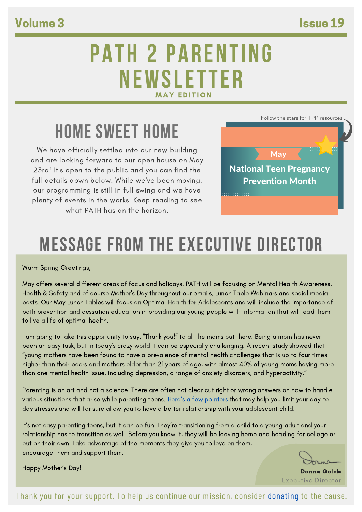### Volume 3 Issue 19

## PATH 2 PARENTING NEWSLETTER **MAY EDITION**

## HOME SWEET HOME

We have officially settled into our new building and are looking forward to our open house on May 23rd! It's open to the public and you can find the full details down below. While we've been moving, our programming is still in full swing and we have plenty of events in the works. Keep reading to see what PATH has on the horizon.



# MESSAGE FROM THE EXECUTIVE DIRECTOR

Warm Spring Greetings,

May offers several different areas of focus and holidays. PATH will be focusing on Mental Health Awareness, Health & Safety and of course Mother's Day throughout our emails, Lunch Table Webinars and social media posts. Our May Lunch Tables will focus on Optimal Health for Adolescents and will include the importance of both prevention and cessation education in providing our young people with information that will lead them to live a life of optimal health.

I am going to take this opportunity to say, "Thank you!" to all the moms out there. Being a mom has never been an easy task, but in today's crazy world it can be especially challenging. A recent study showed that "young mothers have been found to have a prevalence of mental health challenges that is up to four times higher than their peers and mothers older than 21 years of age, with almost 40% of young moms having more than one mental health issue, including depression, a range of anxiety disorders, and hyperactivity."

Parenting is an art and not a science. There are often not clear cut right or wrong answers on how to handle various situations that arise while parenting teens. Here's a few [pointers](https://positiveteenhealth.org/wp-content/uploads/2022/04/Parenting-Pointers.pdf) that may help you limit your day-today stresses and will for sure allow you to have a better relationship with your adolescent child.

It's not easy parenting teens, but it can be fun. They're transitioning from a child to a young adult and your relationship has to transition as well. Before you know it, they will be leaving home and heading for college or out on their own. Take advantage of the moments they give you to love on them, encourage them and support them.

Happy Mother's Day!

Donna Golob Executive Director

Thank you for your support. To help us continue our mission, consider [donating](https://www.positiveteenhealth.org/donate) to the cause.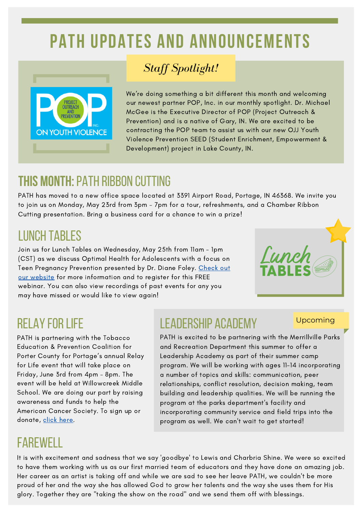# PATH UPDATES AND ANNOUNCEMENTS



### *Staff Spotlight!*

We're doing something a bit different this month and welcoming our newest partner POP, Inc. in our monthly spotlight. Dr. Michael McGee is the Executive Director of POP (Project Outreach & Prevention) and is a native of Gary, IN. We are excited to be contracting the POP team to assist us with our new OJJ Youth Violence Prevention SEED (Student Enrichment, Empowerment & Development) project in Lake County, IN.

## **THIS MONTH:**PATH ribbon cutting

PATH has moved to a new office space located at 3391 Airport Road, Portage, IN 46368. We invite you to join us on Monday, May 23rd from 3pm –7pm for a tour, refreshments, and a Chamber Ribbon Cutting presentation. Bring a business card for a chance to win a prize!

## lunch tables

Join us for Lunch Tables on Wednesday, May 25th from 11am - 1pm (CST) as we discuss Optimal Health for Adolescents with a focus on Teen Pregnancy Prevention presented by Dr. Diane Foley. Check out our website for more [information](https://positiveteenhealth.org/lunch-tables/) and to register for this FREE webinar. You can also view recordings of past events for any you may have missed or would like to view again!



## **RELAY FOR LIFE**

PATH is partnering with the Tobacco Education & Prevention Coalition for Porter County for Portage's annual Relay for Life event that will take place on Friday, June 3rd from 4pm – 8pm. The event will be held at Willowcreek Middle School. We are doing our part by raising awareness and funds to help the American Cancer Society. To sign up or donate, click [here.](https://secure.acsevents.org/site/TR?px=57772285&pg=personal&fr_id=101999&s_locale=en_US&et=jc08YRnKd_TudY8UIH_CA7UvILGwx9t_3Sc1Sw_ZaguG6N6mzj9ccg)

## farewell

## leadership academy

### Upcoming

PATH is excited to be partnering with the Merrillville Parks and Recreation Department this summer to offer a Leadership Academy as part of their summer camp program. We will be working with ages 11-14 incorporating a number of topics and skills: communication, peer relationships, conflict resolution, decision making, team building and leadership qualities. We will be running the program at the parks department's facility and incorporating community service and field trips into the program as well. We can't wait to get started!

It is with excitement and sadness that we say 'goodbye' to Lewis and Charbria Shine. We were so excited to have them working with us as our first married team of educators and they have done an amazing job. Her career as an artist is taking off and while we are sad to see her leave PATH, we couldn't be more proud of her and the way she has allowed God to grow her talents and the way she uses them for His glory. Together they are "taking the show on the road" and we send them off with blessings.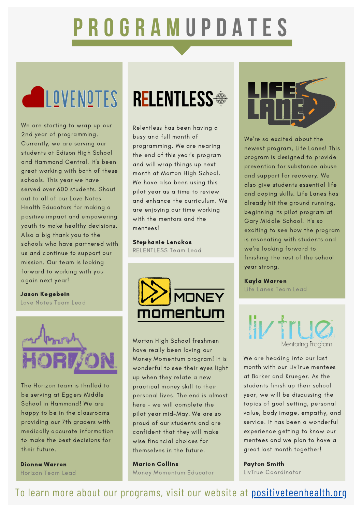# P R O G R A M U P D A T E S

We are starting to wrap up our 2nd year of programming. Currently, we are serving our students at Edison High School and Hammond Central. It's been great working with both of these schools. This year we have served over 600 students. Shout out to all of our Love Notes Health Educators for making a positive impact and empowering youth to make healthy decisions. Also a big thank you to the schools who have partnered with us and continue to support our mission. Our team is looking forward to working with you again next year!

Jason Kegebein Love Notes Team Lead



The Horizon team is thrilled to be serving at Eggers Middle School in Hammond! We are happy to be in the classrooms providing our 7th graders with medically accurate information to make the best decisions for their future.

Dionna Warren Horizon Team Lead

# **ENDITES RELENTLESS**

Relentless has been having a busy and full month of programming. We are nearing the end of this year's program and will wrap things up next month at Morton High School. We have also been using this pilot year as a time to review and enhance the curriculum. We are enjoying our time working with the mentors and the mentees!

Stephanie Lenckos RELENTLESS Team Lead



Morton High School freshmen have really been loving our Money Momentum program! It is wonderful to see their eyes light up when they relate a new practical money skill to their personal lives. The end is almost here - we will complete the pilot year mid-May. We are so proud of our students and are confident that they will make wise financial choices for themselves in the future.

Marion Collins Money Momentum Educator



We're so excited about the newest program, Life Lanes! This program is designed to provide prevention for substance abuse and support for recovery. We also give students essential life and coping skills. Life Lanes has already hit the ground running, beginning its pilot program at Gary Middle School. It's so exciting to see how the program is resonating with students and we're looking forward to finishing the rest of the school year strong.

### Kayla Warren Life Lanes Team Lead



We are heading into our last month with our LivTrue mentees at Barker and Krueger. As the students finish up their school year, we will be discussing the topics of goal setting, personal value, body image, empathy, and service. It has been a wonderful experience getting to know our mentees and we plan to have a great last month together!

Payton Smith LivTrue Coordinator

To learn more about our programs, visit our website at [positiveteenhealth.org](https://www.positiveteenhealth.org/)